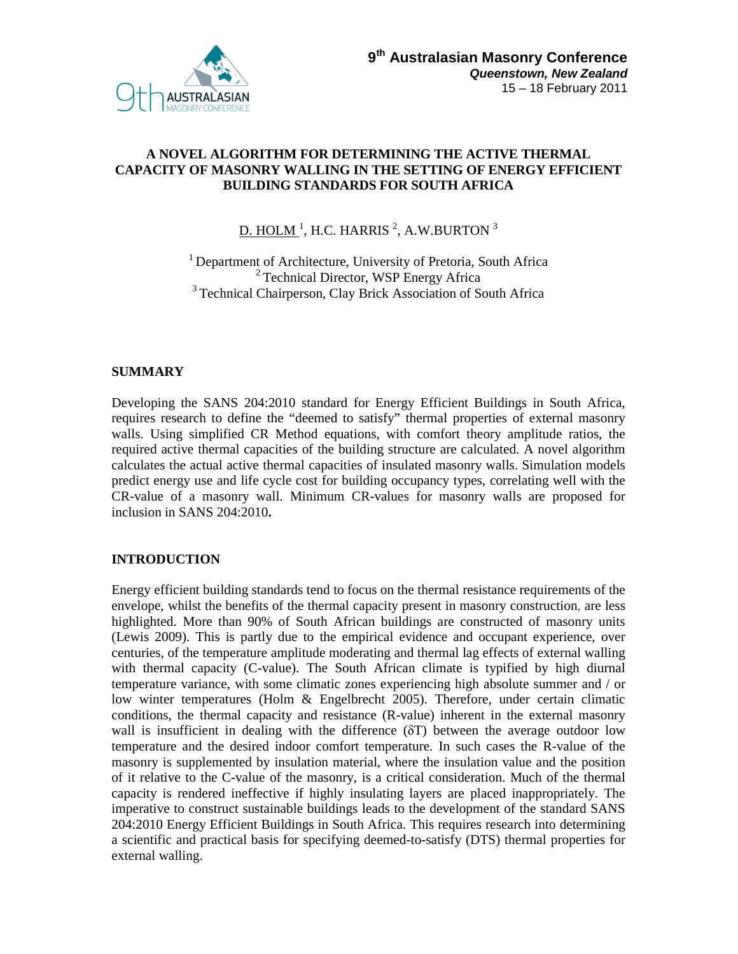

### **A NOVEL ALGORITHM FOR DETERMINING THE ACTIVE THERMAL CAPACITY OF MASONRY WALLING IN THE SETTING OF ENERGY EFFICIENT BUILDING STANDARDS FOR SOUTH AFRICA**

# <u>D. HOLM  $^1$ ,</u> H.C. HARRIS  $^2$ , A.W.BURTON  $^3$

<sup>1</sup> Department of Architecture, University of Pretoria, South Africa <sup>2</sup> Technical Director, WSP Energy Africa <sup>3</sup> Technical Chairperson, Clay Brick Association of South Africa

# **SUMMARY**

Developing the SANS 204:2010 standard for Energy Efficient Buildings in South Africa, requires research to define the "deemed to satisfy" thermal properties of external masonry walls. Using simplified CR Method equations, with comfort theory amplitude ratios, the required active thermal capacities of the building structure are calculated. A novel algorithm calculates the actual active thermal capacities of insulated masonry walls. Simulation models predict energy use and life cycle cost for building occupancy types, correlating well with the CR-value of a masonry wall. Minimum CR-values for masonry walls are proposed for inclusion in SANS 204:2010**.** 

# **INTRODUCTION**

Energy efficient building standards tend to focus on the thermal resistance requirements of the envelope, whilst the benefits of the thermal capacity present in masonry construction, are less highlighted. More than 90% of South African buildings are constructed of masonry units (Lewis 2009). This is partly due to the empirical evidence and occupant experience, over centuries, of the temperature amplitude moderating and thermal lag effects of external walling with thermal capacity (C-value). The South African climate is typified by high diurnal temperature variance, with some climatic zones experiencing high absolute summer and / or low winter temperatures (Holm & Engelbrecht 2005). Therefore, under certain climatic conditions, the thermal capacity and resistance (R-value) inherent in the external masonry wall is insufficient in dealing with the difference (δT) between the average outdoor low temperature and the desired indoor comfort temperature. In such cases the R-value of the masonry is supplemented by insulation material, where the insulation value and the position of it relative to the C-value of the masonry, is a critical consideration. Much of the thermal capacity is rendered ineffective if highly insulating layers are placed inappropriately. The imperative to construct sustainable buildings leads to the development of the standard SANS 204:2010 Energy Efficient Buildings in South Africa. This requires research into determining a scientific and practical basis for specifying deemed-to-satisfy (DTS) thermal properties for external walling.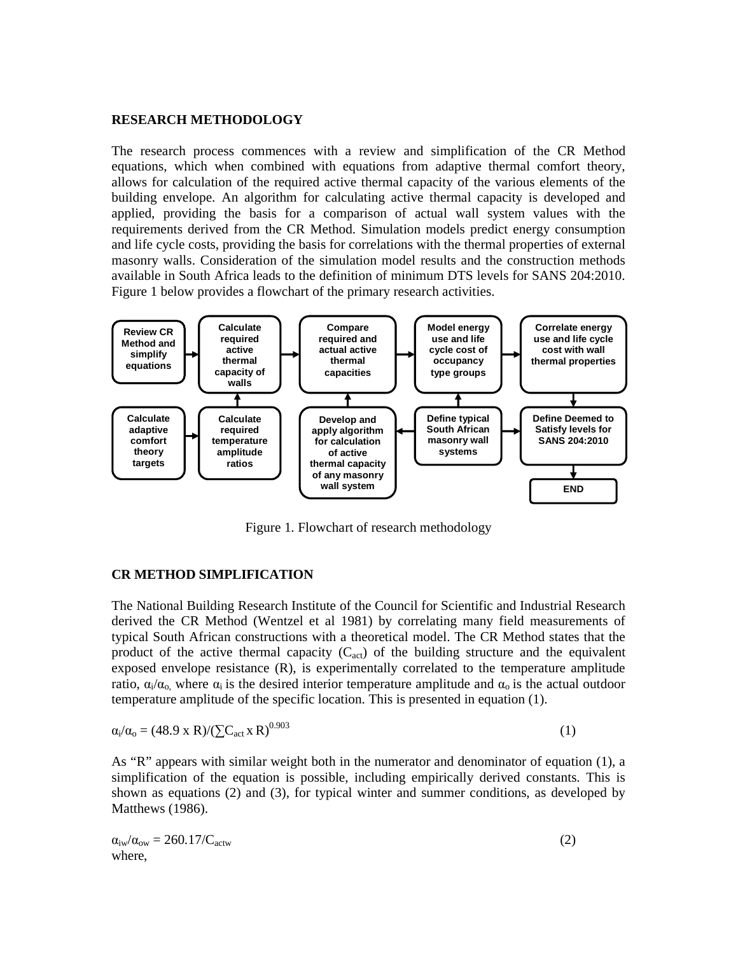#### **RESEARCH METHODOLOGY**

The research process commences with a review and simplification of the CR Method equations, which when combined with equations from adaptive thermal comfort theory, allows for calculation of the required active thermal capacity of the various elements of the building envelope. An algorithm for calculating active thermal capacity is developed and applied, providing the basis for a comparison of actual wall system values with the requirements derived from the CR Method. Simulation models predict energy consumption and life cycle costs, providing the basis for correlations with the thermal properties of external masonry walls. Consideration of the simulation model results and the construction methods available in South Africa leads to the definition of minimum DTS levels for SANS 204:2010. Figure 1 below provides a flowchart of the primary research activities.



Figure 1. Flowchart of research methodology

#### **CR METHOD SIMPLIFICATION**

The National Building Research Institute of the Council for Scientific and Industrial Research derived the CR Method (Wentzel et al 1981) by correlating many field measurements of typical South African constructions with a theoretical model. The CR Method states that the product of the active thermal capacity  $(C_{act})$  of the building structure and the equivalent exposed envelope resistance (R), is experimentally correlated to the temperature amplitude ratio,  $\alpha_i/\alpha_o$ , where  $\alpha_i$  is the desired interior temperature amplitude and  $\alpha_o$  is the actual outdoor temperature amplitude of the specific location. This is presented in equation (1).

$$
\alpha_i/\alpha_o = (48.9 \times R)/(\sum C_{\text{act}} \times R)^{0.903} \tag{1}
$$

As "R" appears with similar weight both in the numerator and denominator of equation (1), a simplification of the equation is possible, including empirically derived constants. This is shown as equations (2) and (3), for typical winter and summer conditions, as developed by Matthews (1986).

$$
\alpha_{\text{iw}}/\alpha_{\text{ow}} = 260.17/C_{\text{actw}}
$$
 (2) where,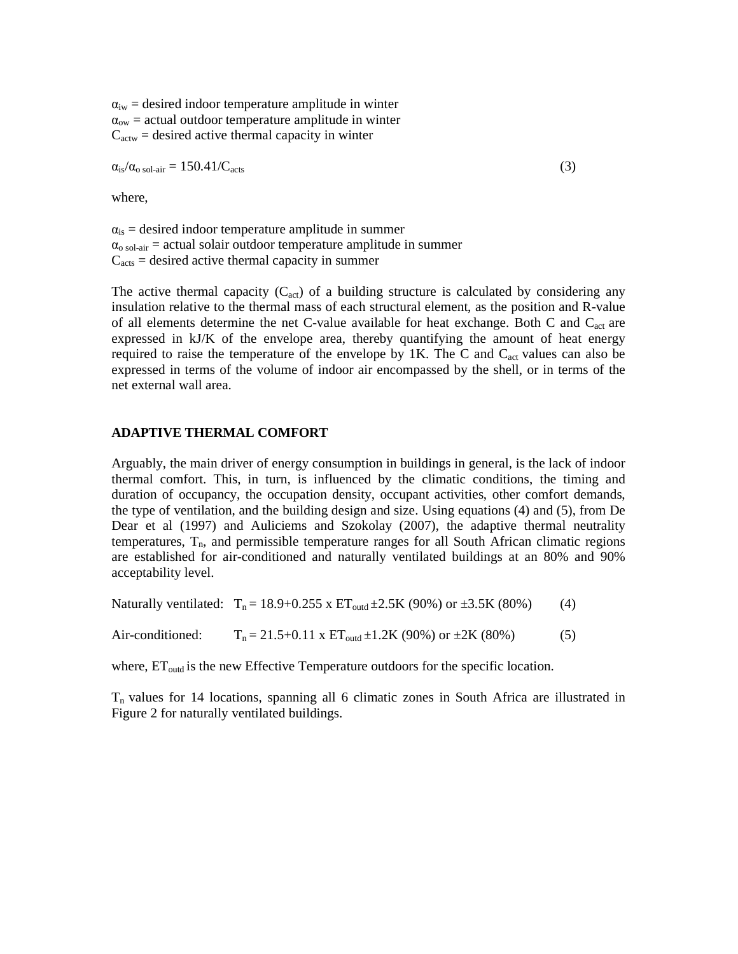$a_{iw}$  = desired indoor temperature amplitude in winter  $\alpha_{\text{ow}}$  = actual outdoor temperature amplitude in winter  $C<sub>actw</sub>$  = desired active thermal capacity in winter

 $\alpha_{\rm is}/\alpha_{\rm o\,sol-air} = 150.41/C_{\rm acts}$  (3)

where,

 $\alpha_{is}$  = desired indoor temperature amplitude in summer  $\alpha_{\text{o sol-air}}$  = actual solair outdoor temperature amplitude in summer  $C<sub>acts</sub> = desired active thermal capacity in summer$ 

The active thermal capacity  $(C_{act})$  of a building structure is calculated by considering any insulation relative to the thermal mass of each structural element, as the position and R-value of all elements determine the net C-value available for heat exchange. Both C and C<sub>act</sub> are expressed in kJ/K of the envelope area, thereby quantifying the amount of heat energy required to raise the temperature of the envelope by  $1K$ . The C and  $C_{act}$  values can also be expressed in terms of the volume of indoor air encompassed by the shell, or in terms of the net external wall area.

#### **ADAPTIVE THERMAL COMFORT**

Arguably, the main driver of energy consumption in buildings in general, is the lack of indoor thermal comfort. This, in turn, is influenced by the climatic conditions, the timing and duration of occupancy, the occupation density, occupant activities, other comfort demands, the type of ventilation, and the building design and size. Using equations (4) and (5), from De Dear et al (1997) and Auliciems and Szokolay (2007), the adaptive thermal neutrality temperatures,  $T_n$ , and permissible temperature ranges for all South African climatic regions are established for air-conditioned and naturally ventilated buildings at an 80% and 90% acceptability level.

Naturally ventilated:  $T_n = 18.9 + 0.255 \times ET_{outd} \pm 2.5K (90\%)$  or  $\pm 3.5K (80\%)$  (4)

Air-conditioned:  $T_n = 21.5+0.11 \times ET_{\text{outd}} \pm 1.2K (90\%) \text{ or } \pm 2K (80\%)$  (5)

where,  $ET_{\text{outd}}$  is the new Effective Temperature outdoors for the specific location.

 $T_n$  values for 14 locations, spanning all 6 climatic zones in South Africa are illustrated in Figure 2 for naturally ventilated buildings.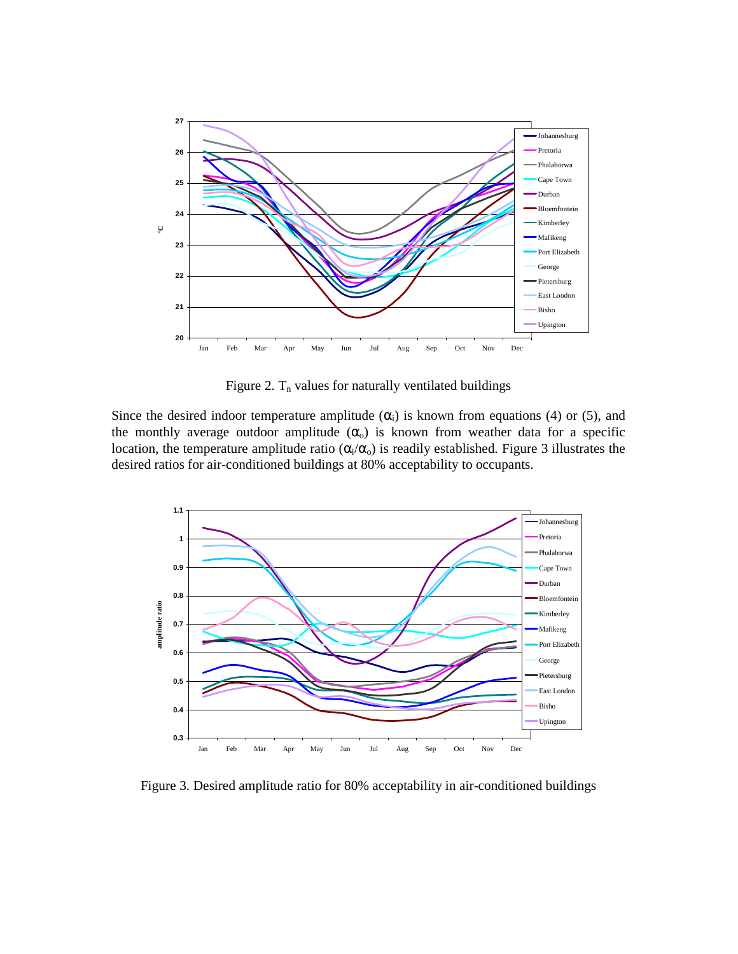

Figure 2.  $T_n$  values for naturally ventilated buildings

Since the desired indoor temperature amplitude  $(\alpha_i)$  is known from equations (4) or (5), and the monthly average outdoor amplitude  $(\alpha_o)$  is known from weather data for a specific location, the temperature amplitude ratio ( $\alpha_i/\alpha_o$ ) is readily established. Figure 3 illustrates the desired ratios for air-conditioned buildings at 80% acceptability to occupants.



Figure 3. Desired amplitude ratio for 80% acceptability in air-conditioned buildings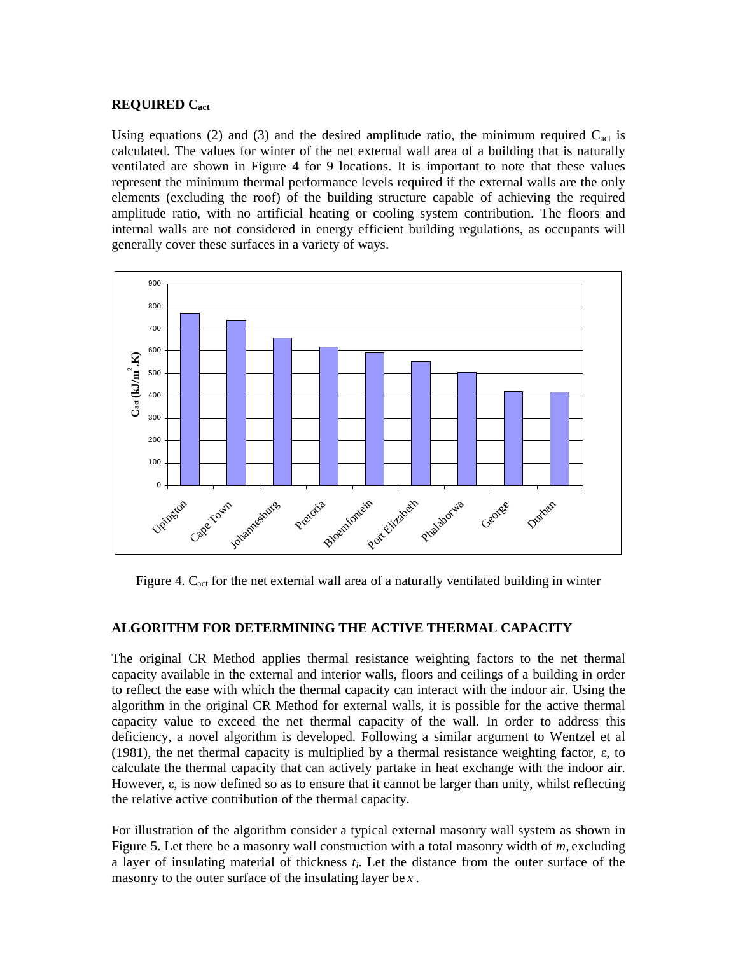# **REQUIRED Cact**

Using equations (2) and (3) and the desired amplitude ratio, the minimum required  $C_{act}$  is calculated. The values for winter of the net external wall area of a building that is naturally ventilated are shown in Figure 4 for 9 locations. It is important to note that these values represent the minimum thermal performance levels required if the external walls are the only elements (excluding the roof) of the building structure capable of achieving the required amplitude ratio, with no artificial heating or cooling system contribution. The floors and internal walls are not considered in energy efficient building regulations, as occupants will generally cover these surfaces in a variety of ways.



Figure 4. C<sub>act</sub> for the net external wall area of a naturally ventilated building in winter

# **ALGORITHM FOR DETERMINING THE ACTIVE THERMAL CAPACITY**

The original CR Method applies thermal resistance weighting factors to the net thermal capacity available in the external and interior walls, floors and ceilings of a building in order to reflect the ease with which the thermal capacity can interact with the indoor air. Using the algorithm in the original CR Method for external walls, it is possible for the active thermal capacity value to exceed the net thermal capacity of the wall. In order to address this deficiency, a novel algorithm is developed. Following a similar argument to Wentzel et al (1981), the net thermal capacity is multiplied by a thermal resistance weighting factor, ε, to calculate the thermal capacity that can actively partake in heat exchange with the indoor air. However, ε, is now defined so as to ensure that it cannot be larger than unity, whilst reflecting the relative active contribution of the thermal capacity.

For illustration of the algorithm consider a typical external masonry wall system as shown in Figure 5. Let there be a masonry wall construction with a total masonry width of *m,* excluding a layer of insulating material of thickness *t<sup>i</sup>* . Let the distance from the outer surface of the masonry to the outer surface of the insulating layer be *x* .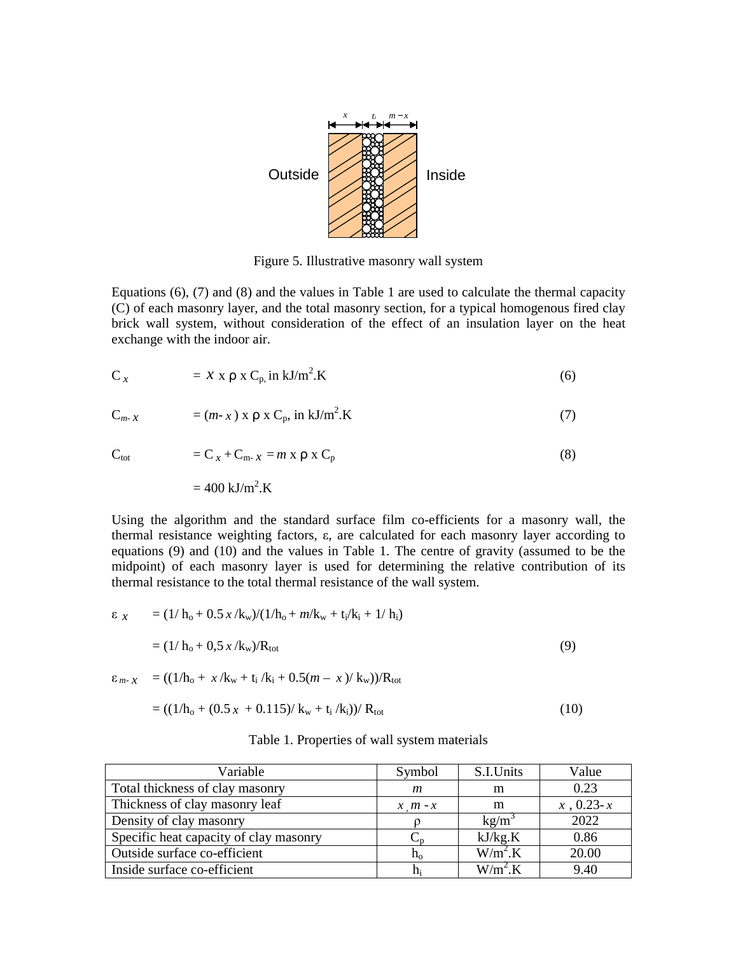

Figure 5. Illustrative masonry wall system

Equations (6), (7) and (8) and the values in Table 1 are used to calculate the thermal capacity (C) of each masonry layer, and the total masonry section, for a typical homogenous fired clay brick wall system, without consideration of the effect of an insulation layer on the heat exchange with the indoor air.

$$
C_x = x \times \rho \times C_p \text{ in kJ/m}^2. K \tag{6}
$$

$$
C_{m-x} = (m-x) \times \rho \times C_p, \text{ in kJ/m}^2. K \tag{7}
$$

$$
C_{\text{tot}} = C_x + C_{m-x} = m \times \rho \times C_p \tag{8}
$$

 $= 400 \text{ kJ/m}^2 \text{K}$ 

Using the algorithm and the standard surface film co-efficients for a masonry wall, the thermal resistance weighting factors, ε, are calculated for each masonry layer according to equations (9) and (10) and the values in Table 1. The centre of gravity (assumed to be the midpoint) of each masonry layer is used for determining the relative contribution of its thermal resistance to the total thermal resistance of the wall system.

$$
\varepsilon_{x} = (1/h_{o} + 0.5 x/k_{w})/(1/h_{o} + m/k_{w} + t_{i}/k_{i} + 1/h_{i})
$$
  
= (1/h\_{o} + 0.5 x/k\_{w})/R\_{tot}  

$$
\varepsilon_{m-x} = ((1/h_{o} + x/k_{w} + t_{i}/k_{i} + 0.5(m - x)/k_{w}))/R_{tot}
$$
(9)

$$
= ((1/ho + (0.5 x + 0.115)/ kw + ti/ki))/ Rtot
$$
\n(10)

| Table 1. Properties of wall system materials |  |  |  |  |
|----------------------------------------------|--|--|--|--|
|----------------------------------------------|--|--|--|--|

| Variable                               | Symbol       | S.I.Units          | Value       |
|----------------------------------------|--------------|--------------------|-------------|
| Total thickness of clay masonry        | m            | m                  | 0.23        |
| Thickness of clay masonry leaf         | $x \mid m-x$ | m                  | $x, 0.23-x$ |
| Density of clay masonry                |              | kg/m <sup>3</sup>  | 2022        |
| Specific heat capacity of clay masonry |              | kJ/kg.K            | 0.86        |
| Outside surface co-efficient           | $h_{o}$      | W/m <sup>2</sup> K | 20.00       |
| Inside surface co-efficient            | $h_i$        | W/m <sup>2</sup> K | 9.40        |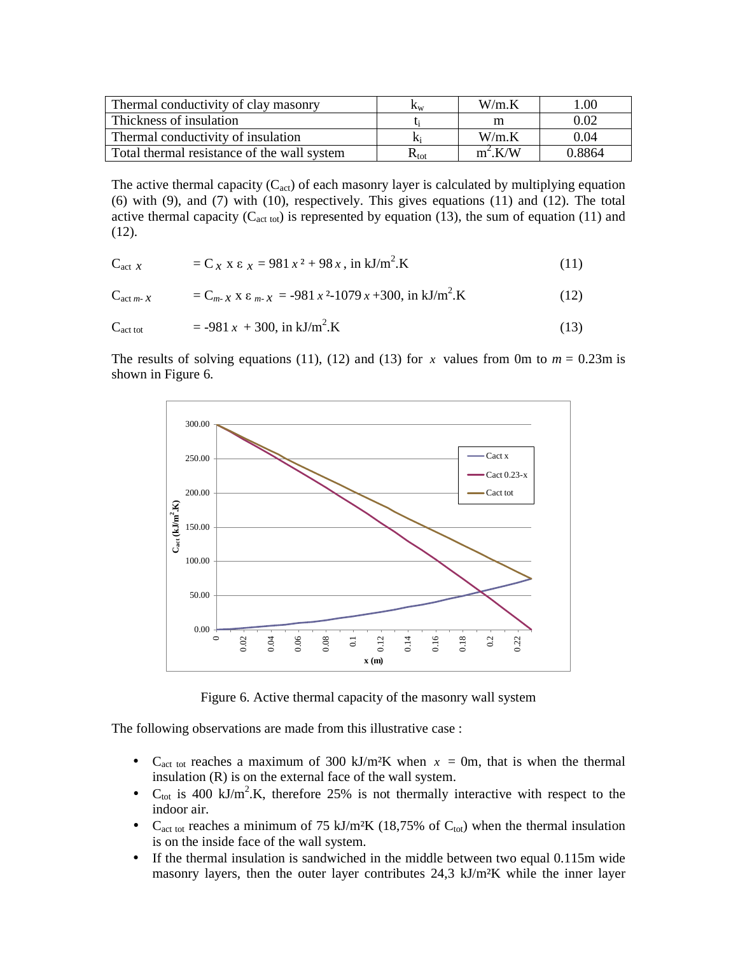| Thermal conductivity of clay masonry        | $\rm K_w$     | $W/m$ K   | l.00   |  |
|---------------------------------------------|---------------|-----------|--------|--|
| Thickness of insulation                     |               | m         | 0.02   |  |
| Thermal conductivity of insulation          | $K_i$         | $W/m$ K   | 0.04   |  |
| Total thermal resistance of the wall system | $\rm R_{tot}$ | $m^2$ K/W | 0.8864 |  |

The active thermal capacity  $(C_{act})$  of each masonry layer is calculated by multiplying equation (6) with (9), and (7) with (10), respectively. This gives equations (11) and (12). The total active thermal capacity ( $C_{\text{act tot}}$ ) is represented by equation (13), the sum of equation (11) and (12).

$$
C_{\text{act } x} = C_x x \epsilon_x = 981 x^2 + 98 x, \text{ in kJ/m}^2. K \tag{11}
$$

$$
C_{\text{act }m\text{-}x} = C_{m\text{-}x} x \epsilon_{m\text{-}x} = -981 x^2 - 1079 x + 300, \text{ in kJ/m}^2 \text{.}
$$
 (12)

$$
C_{\text{act tot}} = -981 x + 300, \text{ in kJ/m}^2 \text{.K} \tag{13}
$$

The results of solving equations (11), (12) and (13) for *x* values from 0m to  $m = 0.23$ m is shown in Figure 6.



Figure 6. Active thermal capacity of the masonry wall system

The following observations are made from this illustrative case :

- C<sub>act tot</sub> reaches a maximum of 300 kJ/m<sup>2</sup>K when  $x = 0$ m, that is when the thermal insulation (R) is on the external face of the wall system.
- $C_{\text{tot}}$  is 400 kJ/m<sup>2</sup>.K, therefore 25% is not thermally interactive with respect to the indoor air.
- C<sub>act tot</sub> reaches a minimum of 75 kJ/m<sup>2</sup>K (18,75% of C<sub>tot</sub>) when the thermal insulation is on the inside face of the wall system.
- If the thermal insulation is sandwiched in the middle between two equal 0.115m wide masonry layers, then the outer layer contributes 24,3 kJ/m²K while the inner layer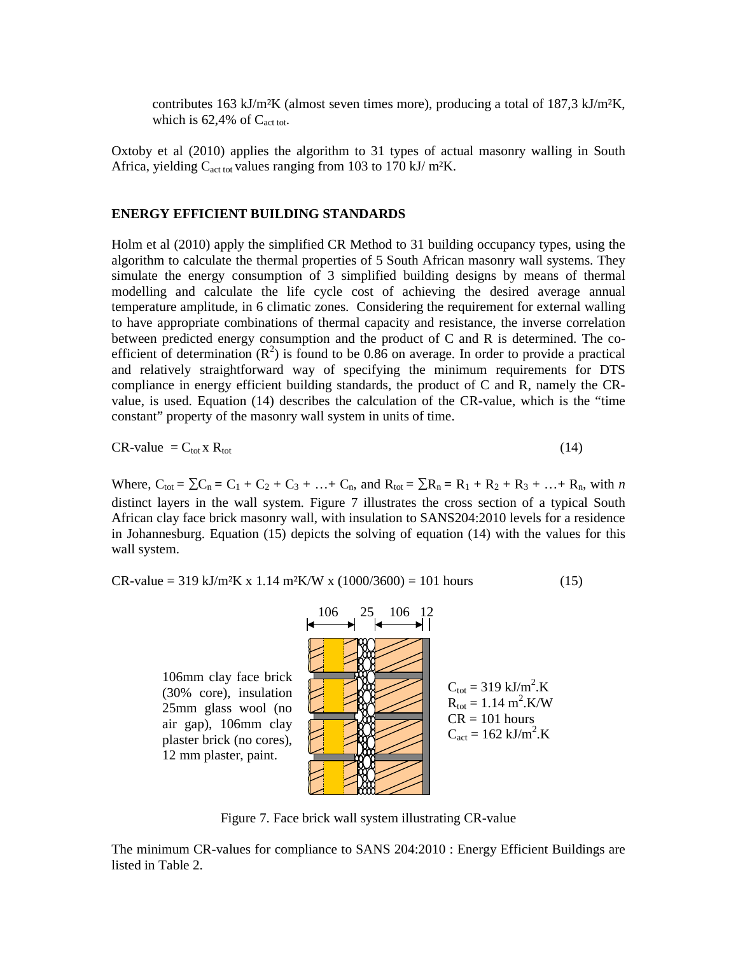contributes 163 kJ/m<sup>2</sup>K (almost seven times more), producing a total of 187,3 kJ/m<sup>2</sup>K, which is  $62,4\%$  of  $C_{\text{act tot}}$ .

Oxtoby et al (2010) applies the algorithm to 31 types of actual masonry walling in South Africa, yielding  $C_{\text{act tot}}$  values ranging from 103 to 170 kJ/ m<sup>2</sup>K.

### **ENERGY EFFICIENT BUILDING STANDARDS**

Holm et al (2010) apply the simplified CR Method to 31 building occupancy types, using the algorithm to calculate the thermal properties of 5 South African masonry wall systems. They simulate the energy consumption of 3 simplified building designs by means of thermal modelling and calculate the life cycle cost of achieving the desired average annual temperature amplitude, in 6 climatic zones. Considering the requirement for external walling to have appropriate combinations of thermal capacity and resistance, the inverse correlation between predicted energy consumption and the product of C and R is determined. The coefficient of determination  $(R^2)$  is found to be 0.86 on average. In order to provide a practical and relatively straightforward way of specifying the minimum requirements for DTS compliance in energy efficient building standards, the product of C and R, namely the CRvalue, is used. Equation (14) describes the calculation of the CR-value, which is the "time constant" property of the masonry wall system in units of time.

$$
CR-value = C_{tot} x R_{tot}
$$
 (14)

Where,  $C_{\text{tot}} = \sum C_n = C_1 + C_2 + C_3 + ... + C_n$ , and  $R_{\text{tot}} = \sum R_n = R_1 + R_2 + R_3 + ... + R_n$ , with *n* distinct layers in the wall system. Figure 7 illustrates the cross section of a typical South African clay face brick masonry wall, with insulation to SANS204:2010 levels for a residence in Johannesburg. Equation (15) depicts the solving of equation (14) with the values for this wall system.

 $CR-value = 319 \text{ kJ/m}^2\text{K x } 1.14 \text{ m}^2\text{K/W x } (1000/3600) = 101 \text{ hours}$  (15)



Figure 7. Face brick wall system illustrating CR-value

The minimum CR-values for compliance to SANS 204:2010 : Energy Efficient Buildings are listed in Table 2.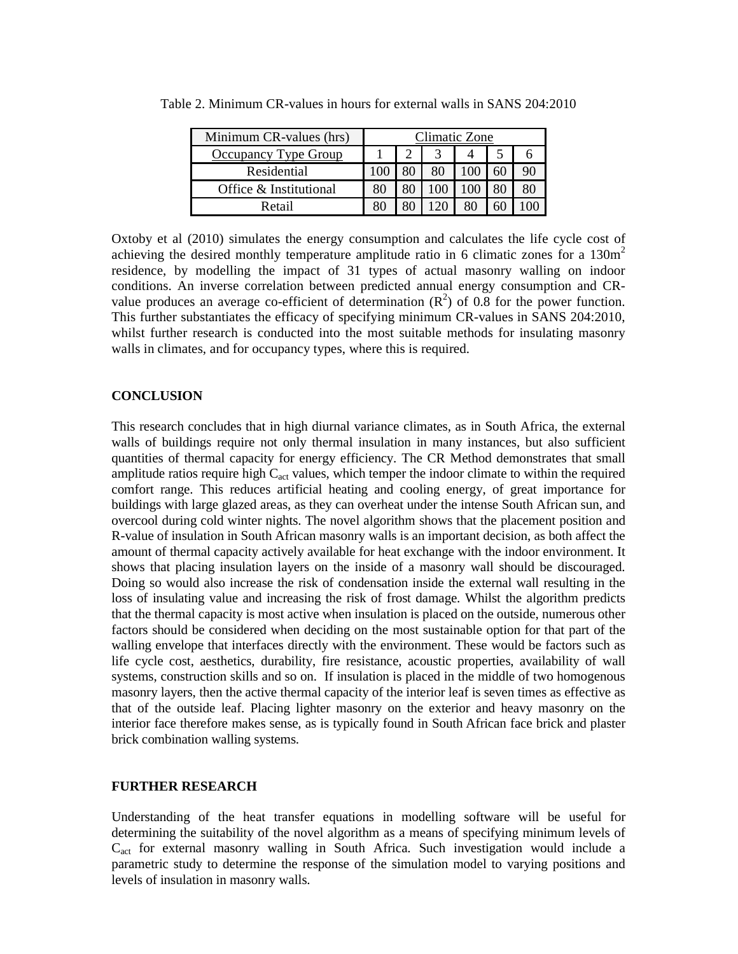| Minimum CR-values (hrs)     | Climatic Zone |  |  |  |  |  |
|-----------------------------|---------------|--|--|--|--|--|
| <b>Occupancy Type Group</b> |               |  |  |  |  |  |
| Residential                 |               |  |  |  |  |  |
| Office & Institutional      |               |  |  |  |  |  |
| Retail                      |               |  |  |  |  |  |

Table 2. Minimum CR-values in hours for external walls in SANS 204:2010

Oxtoby et al (2010) simulates the energy consumption and calculates the life cycle cost of achieving the desired monthly temperature amplitude ratio in 6 climatic zones for a  $130m<sup>2</sup>$ residence, by modelling the impact of 31 types of actual masonry walling on indoor conditions. An inverse correlation between predicted annual energy consumption and CRvalue produces an average co-efficient of determination  $(R^2)$  of 0.8 for the power function. This further substantiates the efficacy of specifying minimum CR-values in SANS 204:2010, whilst further research is conducted into the most suitable methods for insulating masonry walls in climates, and for occupancy types, where this is required.

### **CONCLUSION**

This research concludes that in high diurnal variance climates, as in South Africa, the external walls of buildings require not only thermal insulation in many instances, but also sufficient quantities of thermal capacity for energy efficiency. The CR Method demonstrates that small amplitude ratios require high  $C_{\text{act}}$  values, which temper the indoor climate to within the required comfort range. This reduces artificial heating and cooling energy, of great importance for buildings with large glazed areas, as they can overheat under the intense South African sun, and overcool during cold winter nights. The novel algorithm shows that the placement position and R-value of insulation in South African masonry walls is an important decision, as both affect the amount of thermal capacity actively available for heat exchange with the indoor environment. It shows that placing insulation layers on the inside of a masonry wall should be discouraged. Doing so would also increase the risk of condensation inside the external wall resulting in the loss of insulating value and increasing the risk of frost damage. Whilst the algorithm predicts that the thermal capacity is most active when insulation is placed on the outside, numerous other factors should be considered when deciding on the most sustainable option for that part of the walling envelope that interfaces directly with the environment. These would be factors such as life cycle cost, aesthetics, durability, fire resistance, acoustic properties, availability of wall systems, construction skills and so on. If insulation is placed in the middle of two homogenous masonry layers, then the active thermal capacity of the interior leaf is seven times as effective as that of the outside leaf. Placing lighter masonry on the exterior and heavy masonry on the interior face therefore makes sense, as is typically found in South African face brick and plaster brick combination walling systems.

### **FURTHER RESEARCH**

Understanding of the heat transfer equations in modelling software will be useful for determining the suitability of the novel algorithm as a means of specifying minimum levels of Cact for external masonry walling in South Africa. Such investigation would include a parametric study to determine the response of the simulation model to varying positions and levels of insulation in masonry walls.